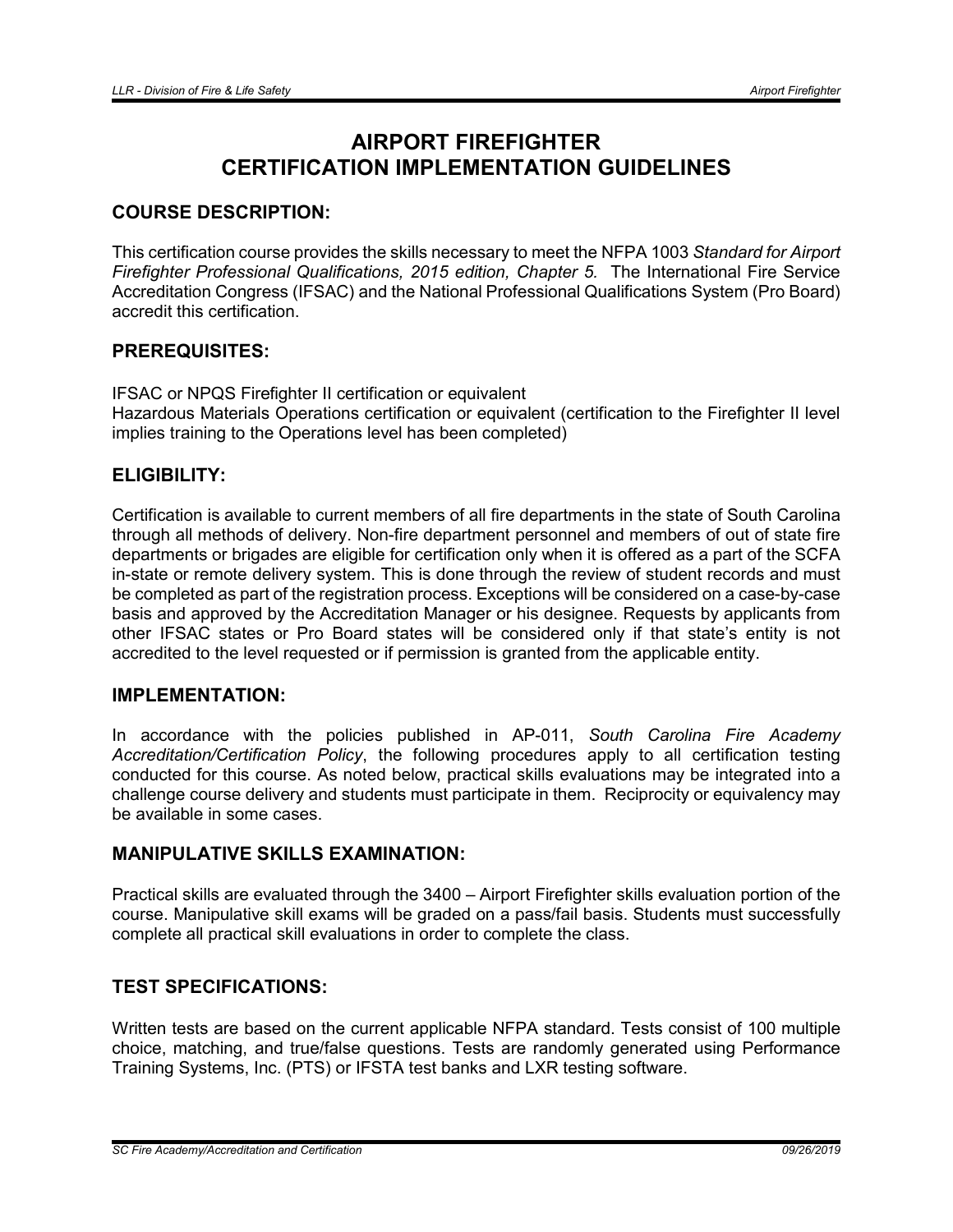# AIRPORT FIREFIGHTER CERTIFICATION IMPLEMENTATION GUIDELINES

# COURSE DESCRIPTION:

This certification course provides the skills necessary to meet the NFPA 1003 *Standard for Airport Firefighter Professional Qualifications, 2015 edition, Chapter 5.* The International Fire Service Accreditation Congress (IFSAC) and the National Professional Qualifications System (Pro Board) accredit this certification.

# PREREQUISITES:

IFSAC or NPQS Firefighter II certification or equivalent Hazardous Materials Operations certification or equivalent (certification to the Firefighter II level implies training to the Operations level has been completed)

# ELIGIBILITY:

Certification is available to current members of all fire departments in the state of South Carolina through all methods of delivery. Non-fire department personnel and members of out of state fire departments or brigades are eligible for certification only when it is offered as a part of the SCFA in-state or remote delivery system. This is done through the review of student records and must be completed as part of the registration process. Exceptions will be considered on a case-by-case basis and approved by the Accreditation Manager or his designee. Requests by applicants from other IFSAC states or Pro Board states will be considered only if that state's entity is not accredited to the level requested or if permission is granted from the applicable entity.

#### IMPLEMENTATION:

In accordance with the policies published in AP-011, *South Carolina Fire Academy Accreditation/Certification Policy*, the following procedures apply to all certification testing conducted for this course. As noted below, practical skills evaluations may be integrated into a challenge course delivery and students must participate in them. Reciprocity or equivalency may be available in some cases.

# MANIPULATIVE SKILLS EXAMINATION:

Practical skills are evaluated through the 3400 – Airport Firefighter skills evaluation portion of the course. Manipulative skill exams will be graded on a pass/fail basis. Students must successfully complete all practical skill evaluations in order to complete the class.

# TEST SPECIFICATIONS:

Written tests are based on the current applicable NFPA standard. Tests consist of 100 multiple choice, matching, and true/false questions. Tests are randomly generated using Performance Training Systems, Inc. (PTS) or IFSTA test banks and LXR testing software.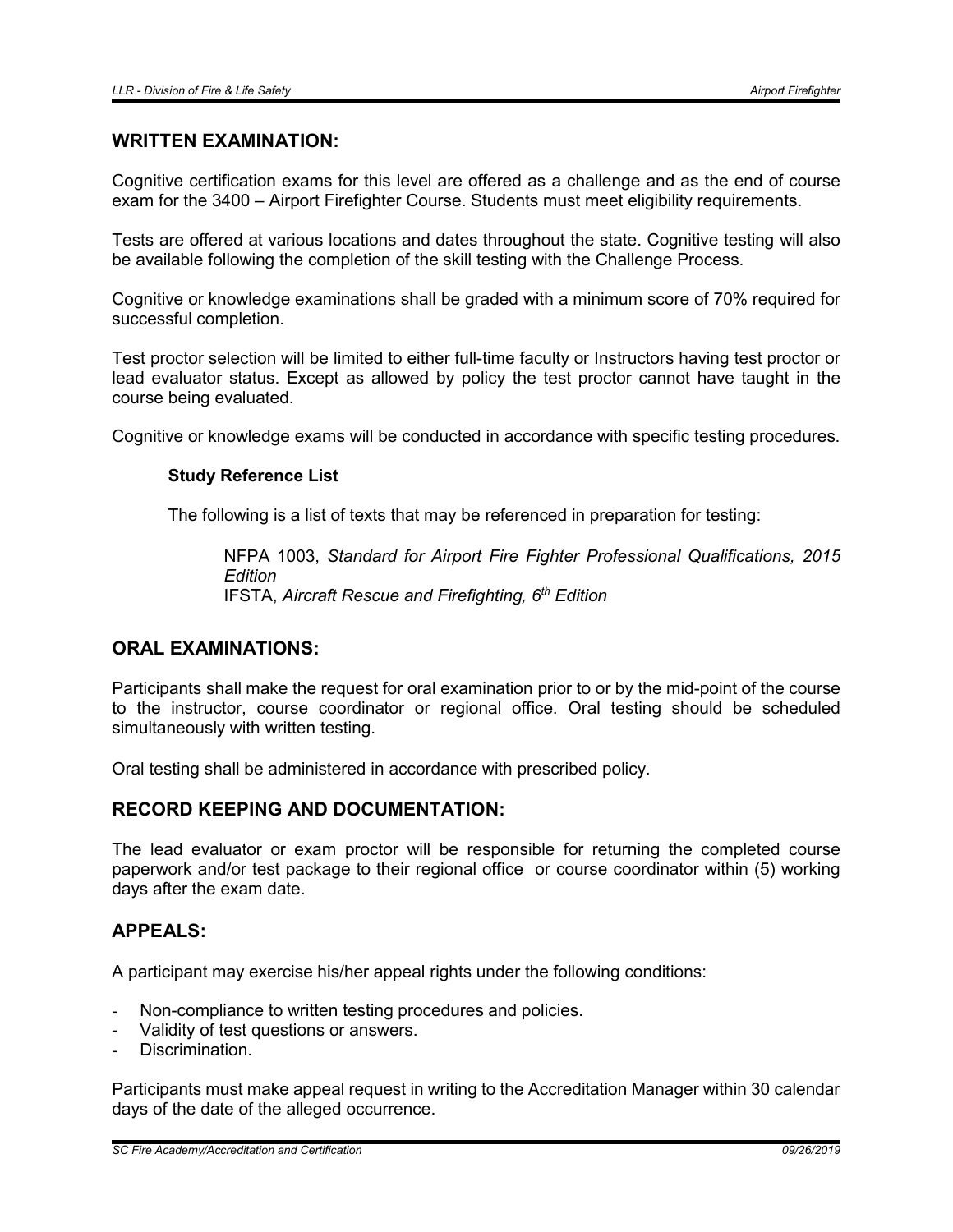#### WRITTEN EXAMINATION:

Cognitive certification exams for this level are offered as a challenge and as the end of course exam for the 3400 – Airport Firefighter Course. Students must meet eligibility requirements.

Tests are offered at various locations and dates throughout the state. Cognitive testing will also be available following the completion of the skill testing with the Challenge Process.

Cognitive or knowledge examinations shall be graded with a minimum score of 70% required for successful completion.

Test proctor selection will be limited to either full-time faculty or Instructors having test proctor or lead evaluator status. Except as allowed by policy the test proctor cannot have taught in the course being evaluated.

Cognitive or knowledge exams will be conducted in accordance with specific testing procedures.

#### Study Reference List

The following is a list of texts that may be referenced in preparation for testing:

NFPA 1003, *Standard for Airport Fire Fighter Professional Qualifications, 2015 Edition* IFSTA, *Aircraft Rescue and Firefighting, 6th Edition*

# ORAL EXAMINATIONS:

Participants shall make the request for oral examination prior to or by the mid-point of the course to the instructor, course coordinator or regional office. Oral testing should be scheduled simultaneously with written testing.

Oral testing shall be administered in accordance with prescribed policy.

### RECORD KEEPING AND DOCUMENTATION:

The lead evaluator or exam proctor will be responsible for returning the completed course paperwork and/or test package to their regional office or course coordinator within (5) working days after the exam date.

#### APPEALS:

A participant may exercise his/her appeal rights under the following conditions:

- Non-compliance to written testing procedures and policies.
- Validity of test questions or answers.
- Discrimination

Participants must make appeal request in writing to the Accreditation Manager within 30 calendar days of the date of the alleged occurrence.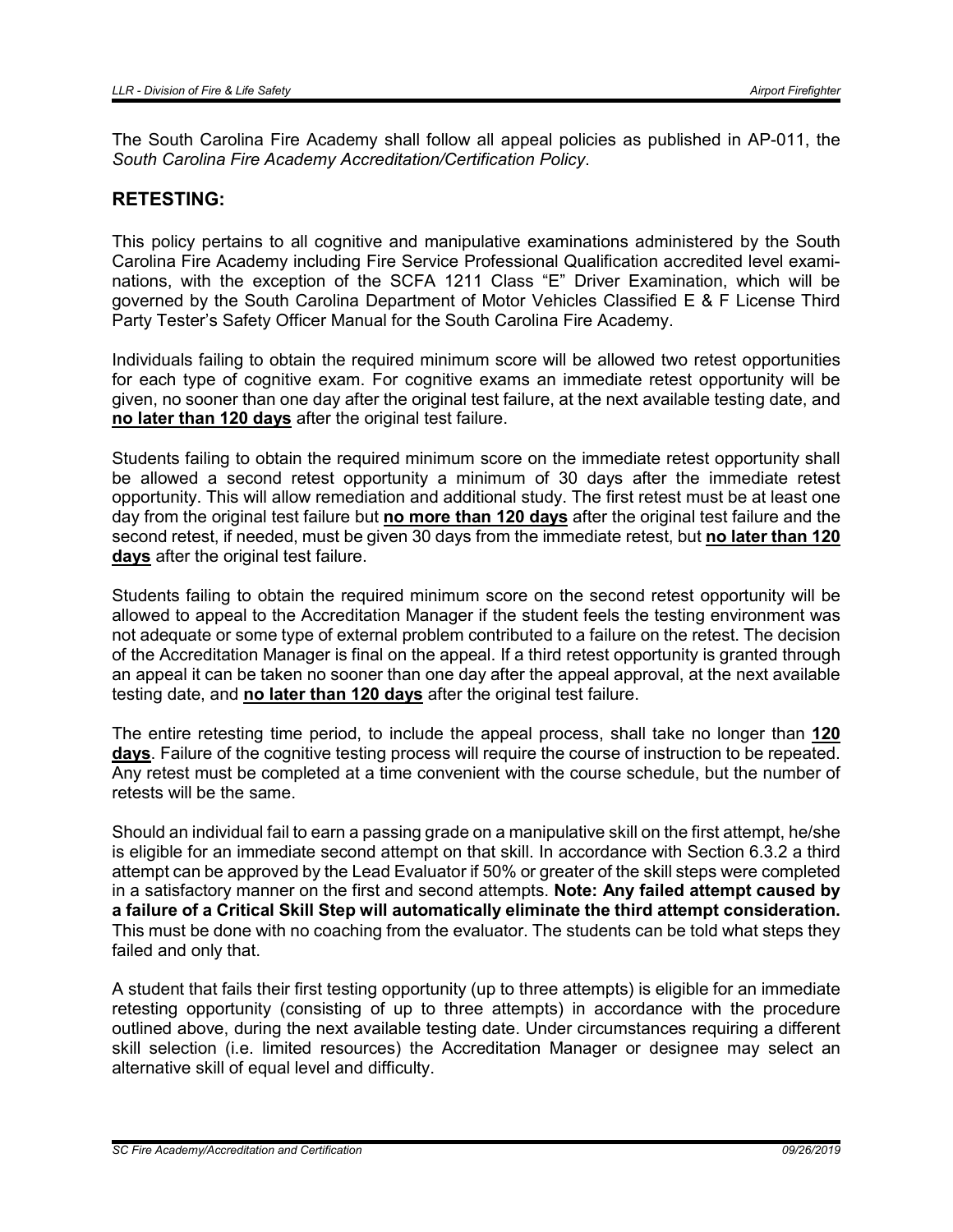The South Carolina Fire Academy shall follow all appeal policies as published in AP-011, the *South Carolina Fire Academy Accreditation/Certification Policy*.

#### RETESTING:

This policy pertains to all cognitive and manipulative examinations administered by the South Carolina Fire Academy including Fire Service Professional Qualification accredited level examinations, with the exception of the SCFA 1211 Class "E" Driver Examination, which will be governed by the South Carolina Department of Motor Vehicles Classified E & F License Third Party Tester's Safety Officer Manual for the South Carolina Fire Academy.

Individuals failing to obtain the required minimum score will be allowed two retest opportunities for each type of cognitive exam. For cognitive exams an immediate retest opportunity will be given, no sooner than one day after the original test failure, at the next available testing date, and no later than 120 days after the original test failure.

Students failing to obtain the required minimum score on the immediate retest opportunity shall be allowed a second retest opportunity a minimum of 30 days after the immediate retest opportunity. This will allow remediation and additional study. The first retest must be at least one day from the original test failure but no more than 120 days after the original test failure and the second retest, if needed, must be given 30 days from the immediate retest, but no later than 120 days after the original test failure.

Students failing to obtain the required minimum score on the second retest opportunity will be allowed to appeal to the Accreditation Manager if the student feels the testing environment was not adequate or some type of external problem contributed to a failure on the retest. The decision of the Accreditation Manager is final on the appeal. If a third retest opportunity is granted through an appeal it can be taken no sooner than one day after the appeal approval, at the next available testing date, and no later than 120 days after the original test failure.

The entire retesting time period, to include the appeal process, shall take no longer than 120 days. Failure of the cognitive testing process will require the course of instruction to be repeated. Any retest must be completed at a time convenient with the course schedule, but the number of retests will be the same.

Should an individual fail to earn a passing grade on a manipulative skill on the first attempt, he/she is eligible for an immediate second attempt on that skill. In accordance with Section 6.3.2 a third attempt can be approved by the Lead Evaluator if 50% or greater of the skill steps were completed in a satisfactory manner on the first and second attempts. Note: Any failed attempt caused by a failure of a Critical Skill Step will automatically eliminate the third attempt consideration. This must be done with no coaching from the evaluator. The students can be told what steps they failed and only that.

A student that fails their first testing opportunity (up to three attempts) is eligible for an immediate retesting opportunity (consisting of up to three attempts) in accordance with the procedure outlined above, during the next available testing date. Under circumstances requiring a different skill selection (i.e. limited resources) the Accreditation Manager or designee may select an alternative skill of equal level and difficulty.

*SC Fire Academy/Accreditation and Certification 09/26/2019*